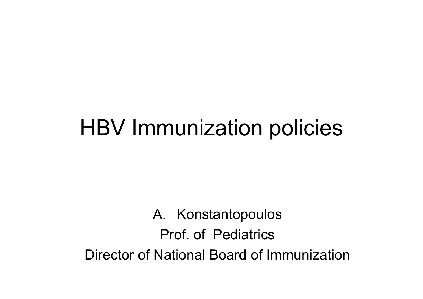#### HBV Immunization policies

A. Konstantopoulos Prof. of PediatricsDirector of National Board of Immunization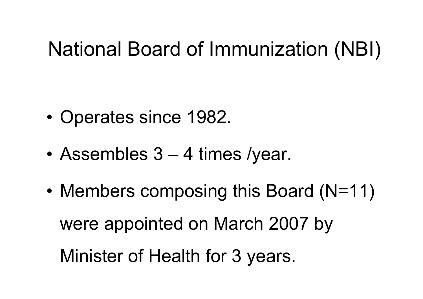#### National Board of Immunization (NBI)

- •Operates since 1982.
- •Assembles 3 – 4 times /year.
- •• Members composing this Board (N=11) were appointed on March 2007 by Minister of Health for 3 years.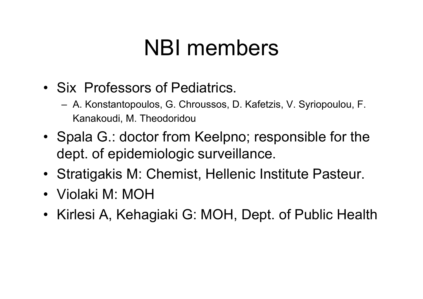### NBI members

- Six Professors of Pediatrics.
	- A. Konstantopoulos, G. Chroussos, D. Kafetzis, V. Syriopoulou, F. Kanakoudi, M. Theodoridou
- Spala G.: doctor from Keelpno; responsible for the dept. of epidemiologic surveillance.
- Stratigakis M: Chemist, Hellenic Institute Pasteur.
- Violaki M: MOH
- Kirlesi A, Kehagiaki G: MOH, Dept. of Public Health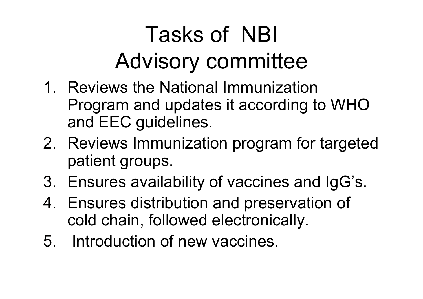# Tasks of NBI Advisory committee

- 1. Reviews the National Immunization Program and updates it according to WHO and EEC guidelines.
- 2. Reviews Immunization program for targeted patient groups.
- 3. Ensures availability of vaccines and IgG's.
- 4. Ensures distribution and preservation of cold chain, followed electronically.
- 5. Introduction of new vaccines.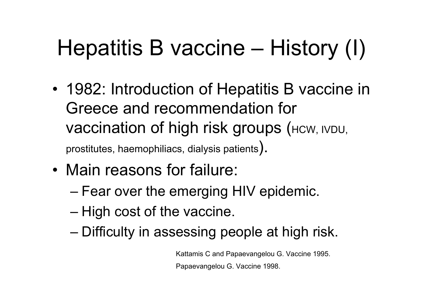# Hepatitis B vaccine – History (I)

- • 1982: Introduction of Hepatitis B vaccine in Greece and recommendation for Vaccination of high risk groups (HCW, IVDU, prostitutes, haemophiliacs, dialysis patients).
- Main reasons for failure:
	- $-$  Fear over the emerging HIV epidemic.
	- High cost of the vaccine.
	- Difficulty in assessing people at high risk.

Kattamis C and Papaevangelou G. Vaccine 1995.

Papaevangelou G. Vaccine 1998.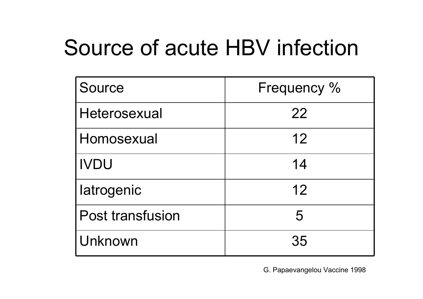## Source of acute HBV infection

| Source                  | Frequency % |
|-------------------------|-------------|
| Heterosexual            | 22          |
| Homosexual              | 12          |
| <b>IVDU</b>             | 14          |
| latrogenic              | 12          |
| <b>Post transfusion</b> | 5           |
| Unknown                 | 35          |

G. Papaevangelou Vaccine 1998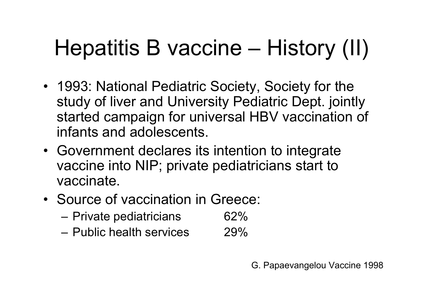## Hepatitis B vaccine – History (II)

- 1993: National Pediatric Society, Society for the study of liver and University Pediatric Dept. jointly started campaign for universal HBV vaccination of infants and adolescents.
- Government declares its intention to integrate vaccine into NIP; private pediatricians start to vaccinate.
- Source of vaccination in Greece:
	- – $-$  Private pediatricians  $$62\%$
	- Public health services 29%

G. Papaevangelou Vaccine 1998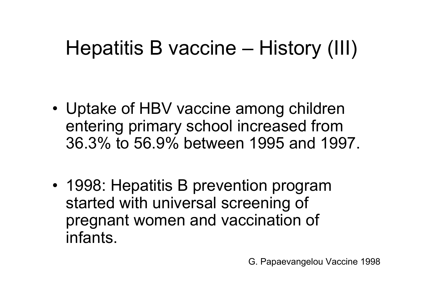### Hepatitis B vaccine – History (III)

- • Uptake of HBV vaccine among children entering primary school increased from 36.3% to 56.9% between 1995 and 1997.
- 1998: Hepatitis B prevention program started with universal screening of pregnant women and vaccination of infants.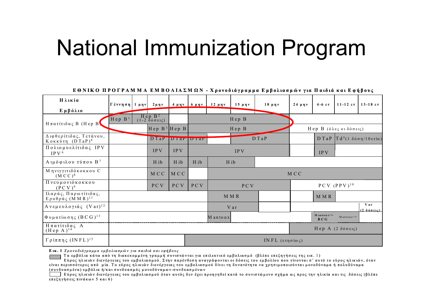## National Immunization Program

|                                                          |                    |         |                                                                    |                      |               |                                   | n o itin o mi oi i itin min mm n oitin min a it a potoota papaa napowaonot jia matota wat ny ipovy |                                         |             |                                       |                                            |                                                              |  |
|----------------------------------------------------------|--------------------|---------|--------------------------------------------------------------------|----------------------|---------------|-----------------------------------|----------------------------------------------------------------------------------------------------|-----------------------------------------|-------------|---------------------------------------|--------------------------------------------|--------------------------------------------------------------|--|
| Ηλικία                                                   | Γέννηση            | $1$ μην | $2 \mu \eta v$                                                     |                      | 4 μην   6 μην | $12$ μην                          | $15 \mu \eta v$                                                                                    | $18$ μην                                | $24 \mu$ ην | $4-6$ $\epsilon \tau$                 |                                            | 11-12 ετ   13-18 ετ                                          |  |
| Εμβόλιο                                                  |                    |         |                                                                    |                      |               |                                   |                                                                                                    |                                         |             |                                       |                                            |                                                              |  |
| $H$ πατίτιδας Β (Hep B)                                  | Hep B <sup>1</sup> |         | Hep B <sup>2</sup><br>$(1-2 \delta 6 \sigma \epsilon \iota \zeta)$ |                      | Hep B         |                                   |                                                                                                    |                                         |             |                                       |                                            |                                                              |  |
|                                                          | $Hep B3$ $Hep B$   |         |                                                                    | Hep B                |               |                                   |                                                                                                    | $H$ ep Β (όλες οιδόσεις)                |             |                                       |                                            |                                                              |  |
| Διφθερίτιδας, Τετάνου,<br>Kοκκύτη $(DTaP)^4$             |                    |         |                                                                    | DTaP   DI ar   DI ar |               |                                   |                                                                                                    | D T a P                                 |             |                                       | D TaP $T d^5$ (1 δόση/10ετία)              |                                                              |  |
| Πολιομυελίτιδας IPV<br>IPV <sub>6</sub>                  |                    |         | <b>IPV</b>                                                         | <b>IPV</b>           |               |                                   | <b>IPV</b>                                                                                         |                                         |             | <b>IPV</b>                            |                                            |                                                              |  |
| Αιμόφιλου τύπου Β <sup>7</sup>                           |                    |         | H ib                                                               | H ib                 | H ib          |                                   | H ib                                                                                               |                                         |             |                                       |                                            |                                                              |  |
| Μηνιγγιτιδόκοκκου C<br>$(MCC)^8$                         |                    |         | M C C                                                              | M C C                |               |                                   |                                                                                                    |                                         | M C C       |                                       |                                            |                                                              |  |
| Πνευμονιόκοκκου<br>(PCV) <sup>9</sup>                    |                    |         | PC V                                                               | PC V                 | PC V          | $PCV$ (PPV) <sup>10</sup><br>PC V |                                                                                                    |                                         |             |                                       |                                            |                                                              |  |
| Ιλαράς, Παρωτίτιδας,<br>$E$ ρυθράς (M M R) <sup>11</sup> |                    |         |                                                                    |                      |               |                                   | M M R                                                                                              |                                         |             | M M R                                 |                                            |                                                              |  |
| $A$ νεμευλογιάς (Var) <sup>12</sup>                      |                    |         |                                                                    |                      |               |                                   | V ar                                                                                               |                                         |             |                                       |                                            | <b>Var</b><br>$(2 \delta 6 \sigma \epsilon \iota \varsigma)$ |  |
| $Φ$ υματίωσης $(BCG)^{13}$                               |                    |         |                                                                    |                      |               | Mantoux                           |                                                                                                    |                                         |             | M antoux <sup>13a</sup><br><b>BCG</b> | $M$ antoux <sup>13<math>\beta</math></sup> |                                                              |  |
| Ηπατίτιδας Α<br>$(Hep A)^{14}$                           |                    |         |                                                                    |                      |               |                                   |                                                                                                    |                                         |             |                                       | $Hep A$ (2 δόσεις)                         |                                                              |  |
| $Γρ$ ίππης (INFL) <sup>15</sup>                          |                    |         |                                                                    |                      |               |                                   |                                                                                                    | IN FL $(\epsilon \tau \eta \sigma$ ίως) |             |                                       |                                            |                                                              |  |

ΕΘΝΙΚΟ ΠΡΟΓΡΑΜΜΑ ΕΜΒΟΛΙΑΣΜΟΝ - Χρονοδιάνοσμμα Εμβολιασμών νια Παιδιά και Εφήβους

**Ε ικ . 1** *Χρονοδιάγραμμα εμβολιασμώ <sup>ν</sup> για παιδιά και εφήβους*

Τα εμβόλια κάτω από τη διακεκομμένη γραμμή συνιστώνται για επιλεκτικό εμβολιασμό (βλέπε επεξηγήσεις της εικ. 1)

Εύρος ηλικιών διενέργειας του εμβολιασμού. Στην παρένθεση αναγράφονται οι δόσεις του εμβολίου που γίνονται σ' αυτό το εύρος ηλικιών, όταν είναι περισσότερες από μία. Το εύρος ηλικιών διενέργειας του εμβολιασμού δίνει τη δυνατότητα να χρησιμοποιούνται μονοδύναμα ή πολυδύναμα (συνδυασμένα ) εμ βόλια ή /και συνδυασμός μονοδύναμων -συνδυασμένων

Εύρος ηλικιών διενέργειας του εμβολιασμού όταν αυτός δεν έγει προηγηθεί κατά το συνιστώμενο σγήμα ως προς την ηλικία και τις δόσεις (βλέπε επεξηγήσ εις πινά κω <sup>ν</sup> 5 και 6)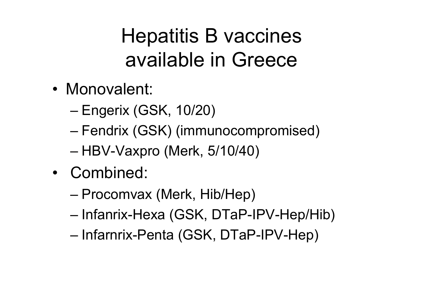#### Hepatitis B vaccines available in Greece

- Monovalent:
	- Engerix (GSK, 10/20)
	- Fendrix (GSK) (immunocompromised)
	- HBV-Vaxpro (Merk, 5/10/40)
- Combined:
	- Procomvax (Merk, Hib/Hep)
	- Infanrix-Hexa (GSK, DTaP-IPV-Hep/Hib)
	- Infarnrix-Penta (GSK, DTaP-IPV-Hep)